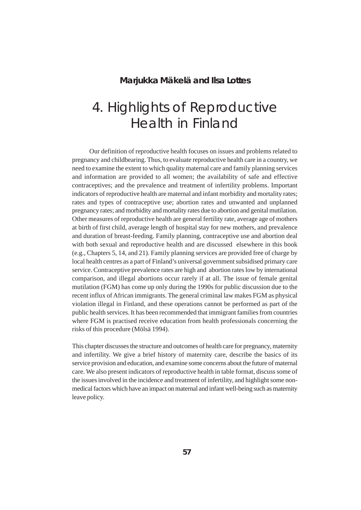### **Marjukka Mäkelä and Ilsa Lottes**

# 4. Highlights of Reproductive Health in Finland

Our definition of reproductive health focuses on issues and problems related to pregnancy and childbearing. Thus, to evaluate reproductive health care in a country, we need to examine the extent to which quality maternal care and family planning services and information are provided to all women; the availability of safe and effective contraceptives; and the prevalence and treatment of infertility problems. Important indicators of reproductive health are maternal and infant morbidity and mortality rates; rates and types of contraceptive use; abortion rates and unwanted and unplanned pregnancy rates; and morbidity and mortality rates due to abortion and genital mutilation. Other measures of reproductive health are general fertility rate, average age of mothers at birth of first child, average length of hospital stay for new mothers, and prevalence and duration of breast-feeding. Family planning, contraceptive use and abortion deal with both sexual and reproductive health and are discussed elsewhere in this book (e.g., Chapters 5, 14, and 21). Family planning services are provided free of charge by local health centres as a part of Finland's universal government subsidised primary care service. Contraceptive prevalence rates are high and abortion rates low by international comparison, and illegal abortions occur rarely if at all. The issue of female genital mutilation (FGM) has come up only during the 1990s for public discussion due to the recent influx of African immigrants. The general criminal law makes FGM as physical violation illegal in Finland, and these operations cannot be performed as part of the public health services. It has been recommended that immigrant families from countries where FGM is practised receive education from health professionals concerning the risks of this procedure (Mölsä 1994).

This chapter discusses the structure and outcomes of health care for pregnancy, maternity and infertility. We give a brief history of maternity care, describe the basics of its service provision and education, and examine some concerns about the future of maternal care. We also present indicators of reproductive health in table format, discuss some of the issues involved in the incidence and treatment of infertility, and highlight some nonmedical factors which have an impact on maternal and infant well-being such as maternity leave policy.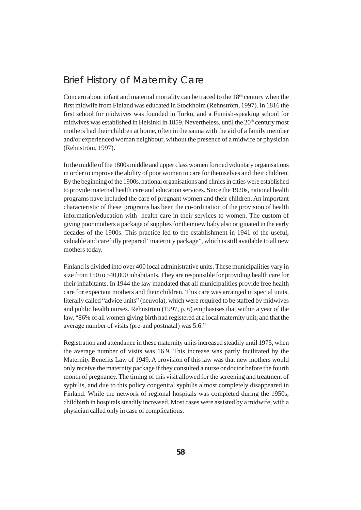### Brief History of Maternity Care

Concern about infant and maternal mortality can be traced to the 18**th** century when the first midwife from Finland was educated in Stockholm (Rehnström, 1997). In 1816 the first school for midwives was founded in Turku, and a Finnish-speaking school for midwives was established in Helsinki in 1859. Nevertheless, until the 20<sup>th</sup> century most mothers had their children at home, often in the sauna with the aid of a family member and/or experienced woman neighbour, without the presence of a midwife or physician (Rehnström, 1997).

In the middle of the 1800s middle and upper class women formed voluntary organisations in order to improve the ability of poor women to care for themselves and their children. By the beginning of the 1900s, national organisations and clinics in cities were established to provide maternal health care and education services. Since the 1920s, national health programs have included the care of pregnant women and their children. An important characteristic of these programs has been the co-ordination of the provision of health information/education with health care in their services to women. The custom of giving poor mothers a package of supplies for their new baby also originated in the early decades of the 1900s. This practice led to the establishment in 1941 of the useful, valuable and carefully prepared "maternity package", which is still available to all new mothers today.

Finland is divided into over 400 local administrative units. These municipalities vary in size from 150 to 540,000 inhabitants. They are responsible for providing health care for their inhabitants. In 1944 the law mandated that all municipalities provide free health care for expectant mothers and their children. This care was arranged in special units, literally called "advice units" (neuvola), which were required to be staffed by midwives and public health nurses. Rehnström (1997, p. 6) emphasises that within a year of the law, "86% of all women giving birth had registered at a local maternity unit, and that the average number of visits (pre-and postnatal) was 5.6."

Registration and attendance in these maternity units increased steadily until 1975, when the average number of visits was 16.9. This increase was partly facilitated by the Maternity Benefits Law of 1949. A provision of this law was that new mothers would only receive the maternity package if they consulted a nurse or doctor before the fourth month of pregnancy. The timing of this visit allowed for the screening and treatment of syphilis, and due to this policy congenital syphilis almost completely disappeared in Finland. While the network of regional hospitals was completed during the 1950s, childbirth in hospitals steadily increased. Most cases were assisted by a midwife, with a physician called only in case of complications.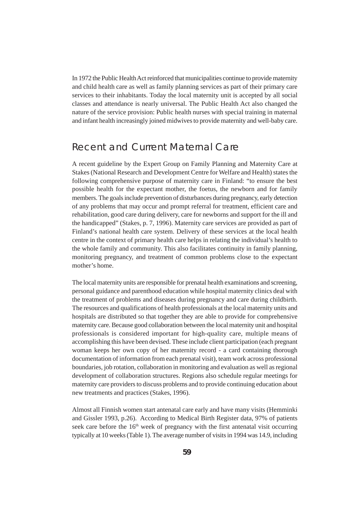In 1972 the Public Health Act reinforced that municipalities continue to provide maternity and child health care as well as family planning services as part of their primary care services to their inhabitants. Today the local maternity unit is accepted by all social classes and attendance is nearly universal. The Public Health Act also changed the nature of the service provision: Public health nurses with special training in maternal and infant health increasingly joined midwives to provide maternity and well-baby care.

### Recent and Current Maternal Care

A recent guideline by the Expert Group on Family Planning and Maternity Care at Stakes (National Research and Development Centre for Welfare and Health) states the following comprehensive purpose of maternity care in Finland: "to ensure the best possible health for the expectant mother, the foetus, the newborn and for family members. The goals include prevention of disturbances during pregnancy, early detection of any problems that may occur and prompt referral for treatment, efficient care and rehabilitation, good care during delivery, care for newborns and support for the ill and the handicapped" (Stakes, p. 7, 1996). Maternity care services are provided as part of Finland's national health care system. Delivery of these services at the local health centre in the context of primary health care helps in relating the individual's health to the whole family and community. This also facilitates continuity in family planning, monitoring pregnancy, and treatment of common problems close to the expectant mother's home.

The local maternity units are responsible for prenatal health examinations and screening, personal guidance and parenthood education while hospital maternity clinics deal with the treatment of problems and diseases during pregnancy and care during childbirth. The resources and qualifications of health professionals at the local maternity units and hospitals are distributed so that together they are able to provide for comprehensive maternity care. Because good collaboration between the local maternity unit and hospital professionals is considered important for high-quality care, multiple means of accomplishing this have been devised. These include client participation (each pregnant woman keeps her own copy of her maternity record - a card containing thorough documentation of information from each prenatal visit), team work across professional boundaries, job rotation, collaboration in monitoring and evaluation as well as regional development of collaboration structures. Regions also schedule regular meetings for maternity care providers to discuss problems and to provide continuing education about new treatments and practices (Stakes, 1996).

Almost all Finnish women start antenatal care early and have many visits (Hemminki and Gissler 1993, p.26). According to Medical Birth Register data, 97% of patients seek care before the  $16<sup>th</sup>$  week of pregnancy with the first antenatal visit occurring typically at 10 weeks (Table 1). The average number of visits in 1994 was 14.9, including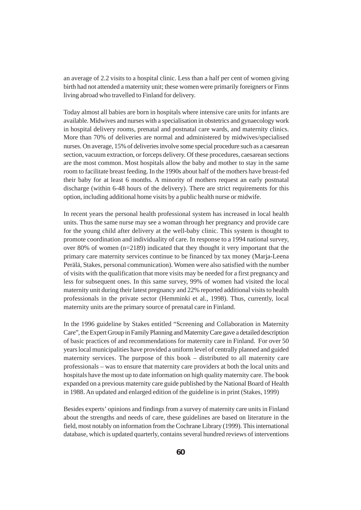an average of 2.2 visits to a hospital clinic. Less than a half per cent of women giving birth had not attended a maternity unit; these women were primarily foreigners or Finns living abroad who travelled to Finland for delivery.

Today almost all babies are born in hospitals where intensive care units for infants are available. Midwives and nurses with a specialisation in obstetrics and gynaecology work in hospital delivery rooms, prenatal and postnatal care wards, and maternity clinics. More than 70% of deliveries are normal and administered by midwives/specialised nurses. On average, 15% of deliveries involve some special procedure such as a caesarean section, vacuum extraction, or forceps delivery. Of these procedures, caesarean sections are the most common. Most hospitals allow the baby and mother to stay in the same room to facilitate breast feeding. In the 1990s about half of the mothers have breast-fed their baby for at least 6 months. A minority of mothers request an early postnatal discharge (within 6-48 hours of the delivery). There are strict requirements for this option, including additional home visits by a public health nurse or midwife.

In recent years the personal health professional system has increased in local health units. Thus the same nurse may see a woman through her pregnancy and provide care for the young child after delivery at the well-baby clinic. This system is thought to promote coordination and individuality of care. In response to a 1994 national survey, over 80% of women (n=2189) indicated that they thought it very important that the primary care maternity services continue to be financed by tax money (Marja-Leena Perälä, Stakes, personal communication). Women were also satisfied with the number of visits with the qualification that more visits may be needed for a first pregnancy and less for subsequent ones. In this same survey, 99% of women had visited the local maternity unit during their latest pregnancy and 22% reported additional visits to health professionals in the private sector (Hemminki et al., 1998). Thus, currently, local maternity units are the primary source of prenatal care in Finland.

In the 1996 guideline by Stakes entitled "Screening and Collaboration in Maternity Care", the Expert Group in Family Planning and Maternity Care gave a detailed description of basic practices of and recommendations for maternity care in Finland. For over 50 years local municipalities have provided a uniform level of centrally planned and guided maternity services. The purpose of this book – distributed to all maternity care professionals – was to ensure that maternity care providers at both the local units and hospitals have the most up to date information on high quality maternity care. The book expanded on a previous maternity care guide published by the National Board of Health in 1988. An updated and enlarged edition of the guideline is in print (Stakes, 1999)

Besides experts' opinions and findings from a survey of maternity care units in Finland about the strengths and needs of care, these guidelines are based on literature in the field, most notably on information from the Cochrane Library (1999). This international database, which is updated quarterly, contains several hundred reviews of interventions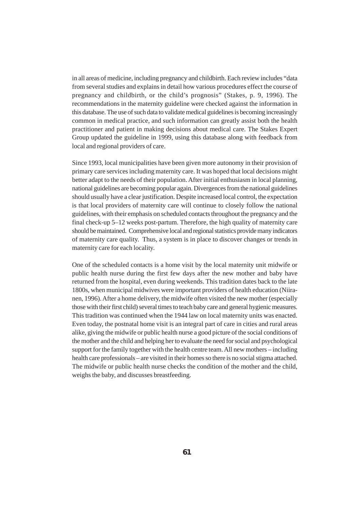in all areas of medicine, including pregnancy and childbirth. Each review includes "data from several studies and explains in detail how various procedures effect the course of pregnancy and childbirth, or the child's prognosis" (Stakes, p. 9, 1996). The recommendations in the maternity guideline were checked against the information in this database. The use of such data to validate medical guidelines is becoming increasingly common in medical practice, and such information can greatly assist both the health practitioner and patient in making decisions about medical care. The Stakes Expert Group updated the guideline in 1999, using this database along with feedback from local and regional providers of care.

Since 1993, local municipalities have been given more autonomy in their provision of primary care services including maternity care. It was hoped that local decisions might better adapt to the needs of their population. After initial enthusiasm in local planning, national guidelines are becoming popular again. Divergences from the national guidelines should usually have a clear justification. Despite increased local control, the expectation is that local providers of maternity care will continue to closely follow the national guidelines, with their emphasis on scheduled contacts throughout the pregnancy and the final check-up 5–12 weeks post-partum. Therefore, the high quality of maternity care should be maintained. Comprehensive local and regional statistics provide many indicators of maternity care quality. Thus, a system is in place to discover changes or trends in maternity care for each locality.

One of the scheduled contacts is a home visit by the local maternity unit midwife or public health nurse during the first few days after the new mother and baby have returned from the hospital, even during weekends. This tradition dates back to the late 1800s, when municipal midwives were important providers of health education (Niiranen, 1996). After a home delivery, the midwife often visited the new mother (especially those with their first child) several times to teach baby care and general hygienic measures. This tradition was continued when the 1944 law on local maternity units was enacted. Even today, the postnatal home visit is an integral part of care in cities and rural areas alike, giving the midwife or public health nurse a good picture of the social conditions of the mother and the child and helping her to evaluate the need for social and psychological support for the family together with the health centre team. All new mothers – including health care professionals – are visited in their homes so there is no social stigma attached. The midwife or public health nurse checks the condition of the mother and the child, weighs the baby, and discusses breastfeeding.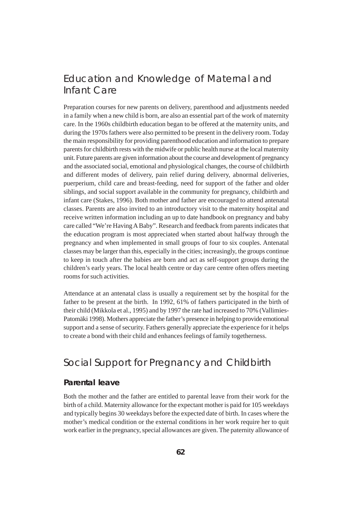# Education and Knowledge of Maternal and Infant Care

Preparation courses for new parents on delivery, parenthood and adjustments needed in a family when a new child is born, are also an essential part of the work of maternity care. In the 1960s childbirth education began to be offered at the maternity units, and during the 1970s fathers were also permitted to be present in the delivery room. Today the main responsibility for providing parenthood education and information to prepare parents for childbirth rests with the midwife or public health nurse at the local maternity unit. Future parents are given information about the course and development of pregnancy and the associated social, emotional and physiological changes, the course of childbirth and different modes of delivery, pain relief during delivery, abnormal deliveries, puerperium, child care and breast-feeding, need for support of the father and older siblings, and social support available in the community for pregnancy, childbirth and infant care (Stakes, 1996). Both mother and father are encouraged to attend antenatal classes. Parents are also invited to an introductory visit to the maternity hospital and receive written information including an up to date handbook on pregnancy and baby care called "We're Having A Baby". Research and feedback from parents indicates that the education program is most appreciated when started about halfway through the pregnancy and when implemented in small groups of four to six couples. Antenatal classes may be larger than this, especially in the cities; increasingly, the groups continue to keep in touch after the babies are born and act as self-support groups during the children's early years. The local health centre or day care centre often offers meeting rooms for such activities.

Attendance at an antenatal class is usually a requirement set by the hospital for the father to be present at the birth. In 1992, 61% of fathers participated in the birth of their child (Mikkola et al., 1995) and by 1997 the rate had increased to 70% (Vallimies-Patomäki 1998). Mothers appreciate the father's presence in helping to provide emotional support and a sense of security. Fathers generally appreciate the experience for it helps to create a bond with their child and enhances feelings of family togetherness.

# Social Support for Pregnancy and Childbirth

#### **Parental leave**

Both the mother and the father are entitled to parental leave from their work for the birth of a child. Maternity allowance for the expectant mother is paid for 105 weekdays and typically begins 30 weekdays before the expected date of birth. In cases where the mother's medical condition or the external conditions in her work require her to quit work earlier in the pregnancy, special allowances are given. The paternity allowance of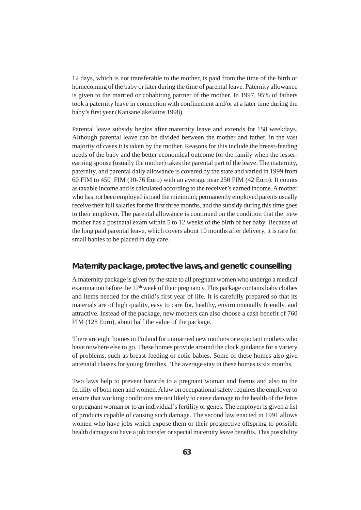12 days, which is not transferable to the mother, is paid from the time of the birth or homecoming of the baby or later during the time of parental leave. Paternity allowance is given to the married or cohabiting partner of the mother. In 1997, 95% of fathers took a paternity leave in connection with confinement and/or at a later time during the baby's first year (Kansaneläkelaitos 1998).

Parental leave subsidy begins after maternity leave and extends for 158 weekdays. Although parental leave can be divided between the mother and father, in the vast majority of cases it is taken by the mother. Reasons for this include the breast-feeding needs of the baby and the better economical outcome for the family when the lesserearning spouse (usually the mother) takes the parental part of the leave. The maternity, paternity, and parental daily allowance is covered by the state and varied in 1999 from 60 FIM to 450 FIM (10-76 Euro) with an average near 250 FIM (42 Euro). It counts as taxable income and is calculated according to the receiver's earned income. A mother who has not been employed is paid the minimum; permanently employed parents usually receive their full salaries for the first three months, and the subsidy during this time goes to their employer. The parental allowance is continued on the condition that the new mother has a postnatal exam within 5 to 12 weeks of the birth of her baby. Because of the long paid parental leave, which covers about 10 months after delivery, it is rare for small babies to be placed in day care.

#### **Maternity package, protective laws, and genetic counselling**

A maternity package is given by the state to all pregnant women who undergo a medical examination before the  $17<sup>th</sup>$  week of their pregnancy. This package contains baby clothes and items needed for the child's first year of life. It is carefully prepared so that its materials are of high quality, easy to care for, healthy, environmentally friendly, and attractive. Instead of the package, new mothers can also choose a cash benefit of 760 FIM (128 Euro), about half the value of the package.

There are eight homes in Finland for unmarried new mothers or expectant mothers who have nowhere else to go. These homes provide around the clock guidance for a variety of problems, such as breast-feeding or colic babies. Some of these homes also give antenatal classes for young families. The average stay in these homes is six months.

Two laws help to prevent hazards to a pregnant woman and foetus and also to the fertility of both men and women. A law on occupational safety requires the employer to ensure that working conditions are not likely to cause damage to the health of the fetus or pregnant woman or to an individual's fertility or genes. The employer is given a list of products capable of causing such damage. The second law enacted in 1991 allows women who have jobs which expose them or their prospective offspring to possible health damages to have a job transfer or special maternity leave benefits. This possibility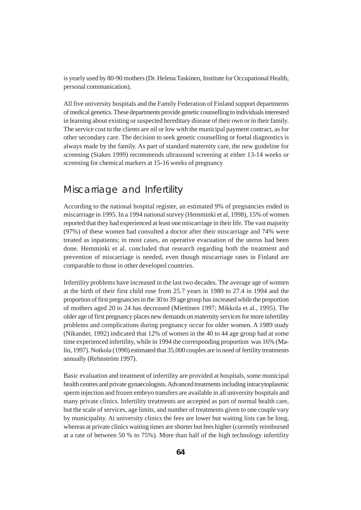is yearly used by 80-90 mothers (Dr. Helena Taskinen, Institute for Occupational Health, personal communication).

All five university hospitals and the Family Federation of Finland support departments of medical genetics. These departments provide genetic counselling to individuals interested in learning about existing or suspected hereditary disease of their own or in their family. The service cost to the clients are nil or low with the municipal payment contract, as for other secondary care. The decision to seek genetic counselling or foetal diagnostics is always made by the family. As part of standard maternity care, the new guideline for screening (Stakes 1999) recommends ultrasound screening at either 13-14 weeks or screening for chemical markers at 15-16 weeks of pregnancy

# Miscarriage and Infertility

According to the national hospital register, an estimated 9% of pregnancies ended in miscarriage in 1995. In a 1994 national survey (Hemminki et al, 1998), 15% of women reported that they had experienced at least one miscarriage in their life. The vast majority (97%) of these women had consulted a doctor after their miscarriage and 74% were treated as inpatients; in most cases, an operative evacuation of the uterus had been done. Hemminki et al. concluded that research regarding both the treatment and prevention of miscarriage is needed, even though miscarriage rates in Finland are comparable to those in other developed countries.

Infertility problems have increased in the last two decades. The average age of women at the birth of their first child rose from 25.7 years in 1980 to 27.4 in 1994 and the proportion of first pregnancies in the 30 to 39 age group has increased while the proportion of mothers aged 20 to 24 has decreased (Miettinen 1997; Mikkola et al., 1995). The older age of first pregnancy places new demands on maternity services for more infertility problems and complications during pregnancy occur for older women. A 1989 study (Nikander, 1992) indicated that 12% of women in the 40 to 44 age group had at some time experienced infertility, while in 1994 the corresponding proportion was 16% (Malin, 1997). Notkola (1990) estimated that 35,000 couples are in need of fertility treatments annually (Rehnström 1997).

Basic evaluation and treatment of infertility are provided at hospitals, some municipal health centres and private gynaecologists. Advanced treatments including intracytoplasmic sperm injection and frozen embryo transfers are available in all university hospitals and many private clinics. Infertility treatments are accepted as part of normal health care, but the scale of services, age limits, and number of treatments given to one couple vary by municipality. At university clinics the fees are lower but waiting lists can be long, whereas at private clinics waiting times are shorter but fees higher (currently reimbursed at a rate of between 50 % to 75%). More than half of the high technology infertility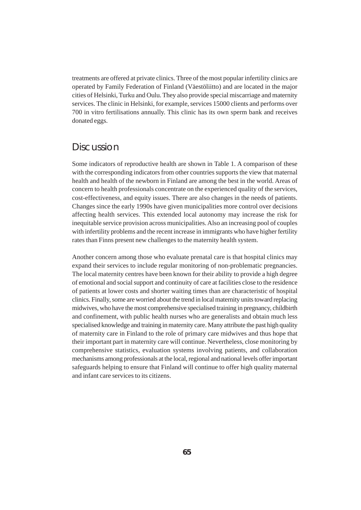treatments are offered at private clinics. Three of the most popular infertility clinics are operated by Family Federation of Finland (Väestöliitto) and are located in the major cities of Helsinki, Turku and Oulu. They also provide special miscarriage and maternity services. The clinic in Helsinki, for example, services 15000 clients and performs over 700 in vitro fertilisations annually. This clinic has its own sperm bank and receives donated eggs.

### **Discussion**

Some indicators of reproductive health are shown in Table 1. A comparison of these with the corresponding indicators from other countries supports the view that maternal health and health of the newborn in Finland are among the best in the world. Areas of concern to health professionals concentrate on the experienced quality of the services, cost-effectiveness, and equity issues. There are also changes in the needs of patients. Changes since the early 1990s have given municipalities more control over decisions affecting health services. This extended local autonomy may increase the risk for inequitable service provision across municipalities. Also an increasing pool of couples with infertility problems and the recent increase in immigrants who have higher fertility rates than Finns present new challenges to the maternity health system.

Another concern among those who evaluate prenatal care is that hospital clinics may expand their services to include regular monitoring of non-problematic pregnancies. The local maternity centres have been known for their ability to provide a high degree of emotional and social support and continuity of care at facilities close to the residence of patients at lower costs and shorter waiting times than are characteristic of hospital clinics. Finally, some are worried about the trend in local maternity units toward replacing midwives, who have the most comprehensive specialised training in pregnancy, childbirth and confinement, with public health nurses who are generalists and obtain much less specialised knowledge and training in maternity care. Many attribute the past high quality of maternity care in Finland to the role of primary care midwives and thus hope that their important part in maternity care will continue. Nevertheless, close monitoring by comprehensive statistics, evaluation systems involving patients, and collaboration mechanisms among professionals at the local, regional and national levels offer important safeguards helping to ensure that Finland will continue to offer high quality maternal and infant care services to its citizens.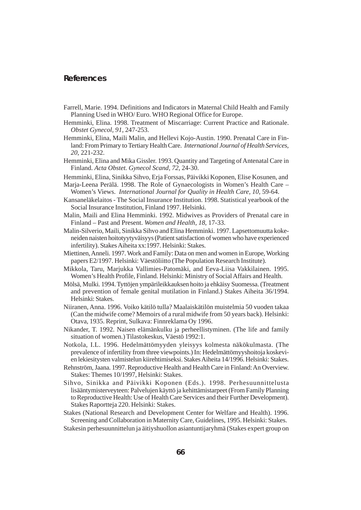#### **References**

- Farrell, Marie. 1994. Definitions and Indicators in Maternal Child Health and Family Planning Used in WHO/ Euro. WHO Regional Office for Europe.
- Hemminki, Elina. 1998. Treatment of Miscarriage: Current Practice and Rationale. *Obstet Gynecol, 91*, 247-253.
- Hemminki, Elina, Maili Malin, and Hellevi Kojo-Austin. 1990. Prenatal Care in Finland: From Primary to Tertiary Health Care. *International Journal of Health Services, 20*, 221-232.
- Hemminki, Elina and Mika Gissler. 1993. Quantity and Targeting of Antenatal Care in Finland. *Acta Obstet. Gynecol Scand, 72*, 24-30.
- Hemminki, Elina, Sinikka Sihvo, Erja Forssas, Päivikki Koponen, Elise Kosunen, and
- Marja-Leena Perälä. 1998. The Role of Gynaecologists in Women's Health Care Women's Views. *International Journal for Quality in Health Care, 10,* 59-64.
- Kansaneläkelaitos The Social Insurance Institution. 1998. Statistical yearbook of the Social Insurance Institution, Finland 1997. Helsinki.
- Malin, Maili and Elina Hemminki. 1992. Midwives as Providers of Prenatal care in Finland – Past and Present. *Women and Health, 18*, 17-33.
- Malin-Silverio, Maili, Sinikka Sihvo and Elina Hemminki. 1997. Lapsettomuutta kokeneiden naisten hoitotyytyväisyys (Patient satisfaction of women who have experienced infertility). Stakes Aiheita xx:1997. Helsinki: Stakes.
- Miettinen, Anneli. 1997. Work and Family: Data on men and women in Europe, Working papers E2/1997. Helsinki: Väestöliitto (The Population Research Institute).
- Mikkola, Taru, Marjukka Vallimies-Patomäki, and Eeva-Liisa Vakkilainen. 1995. Women's Health Profile, Finland. Helsinki: Ministry of Social Affairs and Health.
- Mölsä, Mulki. 1994. Tyttöjen ympärileikkauksen hoito ja ehkäisy Suomessa. (Treatment and prevention of female genital mutilation in Finland.) Stakes Aiheita 36/1994. Helsinki: Stakes.
- Niiranen, Anna. 1996. Voiko kätilö tulla? Maalaiskätilön muistelmia 50 vuoden takaa (Can the midwife come? Memoirs of a rural midwife from 50 years back). Helsinki: Otava, 1935. Reprint, Sulkava: Finnreklama Oy 1996.
- Nikander, T. 1992. Naisen elämänkulku ja perheellistyminen. (The life and family situation of women.) Tilastokeskus, Väestö 1992:1.
- Notkola, I.L. 1996. Hedelmättömyyden yleisyys kolmesta näkökulmasta. (The prevalence of infertility from three viewpoints.) In: Hedelmättömyyshoitoja koskevien lekiesitysten valmistelun kiirehtimiseksi. Stakes Aiheita 14/1996. Helsinki: Stakes.
- Rehnström, Jaana. 1997. Reproductive Health and Health Care in Finland: An Overview. Stakes: Themes 10/1997, Helsinki: Stakes.
- Sihvo, Sinikka and Päivikki Koponen (Eds.). 1998. Perhesuunnittelusta lisääntymisterveyteen: Palvelujen käyttö ja kehittämistarpeet (From Family Planning to Reproductive Health: Use of Health Care Services and their Further Development). Stakes Raportteja 220. Helsinki: Stakes.

Stakes (National Research and Development Center for Welfare and Health). 1996. Screening and Collaboration in Maternity Care, Guidelines, 1995. Helsinki: Stakes.

Stakesin perhesuunnittelun ja äitiyshuollon asiantuntijaryhmä (Stakes expert group on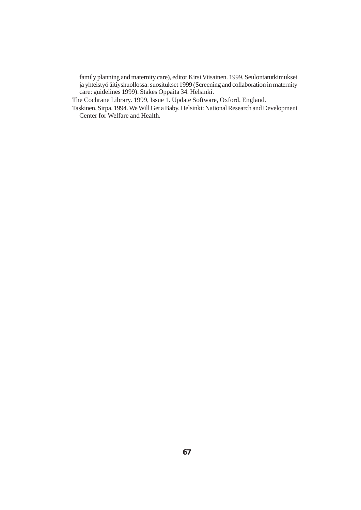family planning and maternity care), editor Kirsi Viisainen. 1999. Seulontatutkimukset ja yhteistyö äitiyshuollossa: suositukset 1999 (Screening and collaboration in maternity care: guidelines 1999). Stakes Oppaita 34. Helsinki.

The Cochrane Library. 1999, Issue 1. Update Software, Oxford, England.

Taskinen, Sirpa. 1994. We Will Get a Baby. Helsinki: National Research and Development Center for Welfare and Health.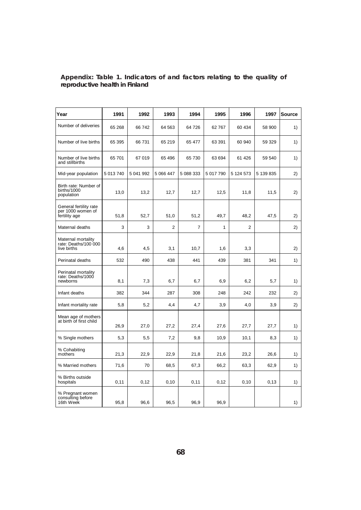| Year                                                         | 1991      | 1992      | 1993           | 1994           | 1995      | 1996      | 1997      | <b>Source</b> |
|--------------------------------------------------------------|-----------|-----------|----------------|----------------|-----------|-----------|-----------|---------------|
| Number of deliveries                                         | 65 268    | 66742     | 64 563         | 64 726         | 62767     | 60 434    | 58 900    | 1)            |
| Number of live births                                        | 65 395    | 66 731    | 65 219         | 65 477         | 63 391    | 60 940    | 59 329    | 1)            |
| Number of live births<br>and stillbirths                     | 65 701    | 67 019    | 65 496         | 65 730         | 63 694    | 61 4 26   | 59 540    | 1)            |
| Mid-year population                                          | 5 013 740 | 5 041 992 | 5 066 447      | 5 088 333      | 5 017 790 | 5 124 573 | 5 139 835 | 2)            |
| Birth rate: Number of<br>births/1000<br>population           | 13,0      | 13,2      | 12,7           | 12,7           | 12,5      | 11,8      | 11,5      | 2)            |
| General fertility rate<br>per 1000 women of<br>fertility age | 51,8      | 52,7      | 51,0           | 51,2           | 49.7      | 48,2      | 47,5      | 2)            |
| Maternal deaths                                              | 3         | 3         | $\overline{2}$ | $\overline{7}$ | 1         | 2         |           | 2)            |
| Maternal mortality<br>rate: Deaths/100 000<br>live births    | 4,6       | 4,5       | 3,1            | 10,7           | 1,6       | 3,3       |           | 2)            |
| Perinatal deaths                                             | 532       | 490       | 438            | 441            | 439       | 381       | 341       | 1)            |
| Perinatal mortality<br>rate: Deaths/1000<br>newborns         | 8,1       | 7,3       | 6,7            | 6,7            | 6,9       | 6,2       | 5,7       | 1)            |
| Infant deaths                                                | 382       | 344       | 287            | 308            | 248       | 242       | 232       | 2)            |
| Infant mortality rate                                        | 5,8       | 5,2       | 4,4            | 4,7            | 3,9       | 4,0       | 3,9       | 2)            |
| Mean age of mothers<br>at birth of first child               | 26,9      | 27,0      | 27,2           | 27,4           | 27,6      | 27,7      | 27,7      | 1)            |
| % Single mothers                                             | 5,3       | 5,5       | 7,2            | 9,8            | 10,9      | 10,1      | 8,3       | 1)            |
| % Cohabiting<br>mothers                                      | 21,3      | 22,9      | 22,9           | 21,8           | 21,6      | 23,2      | 26,6      | 1)            |
| % Married mothers                                            | 71,6      | 70        | 68,5           | 67,3           | 66,2      | 63,3      | 62,9      | 1)            |
| % Births outside<br>hospitals                                | 0,11      | 0,12      | 0,10           | 0,11           | 0,12      | 0, 10     | 0,13      | 1)            |
| % Pregnant women<br>consulting before<br>16th Week           | 95,8      | 96,6      | 96,5           | 96,9           | 96,9      |           |           | 1)            |

#### **Appendix: Table 1. Indicators of and factors relating to the quality of reproductive health in Finland**